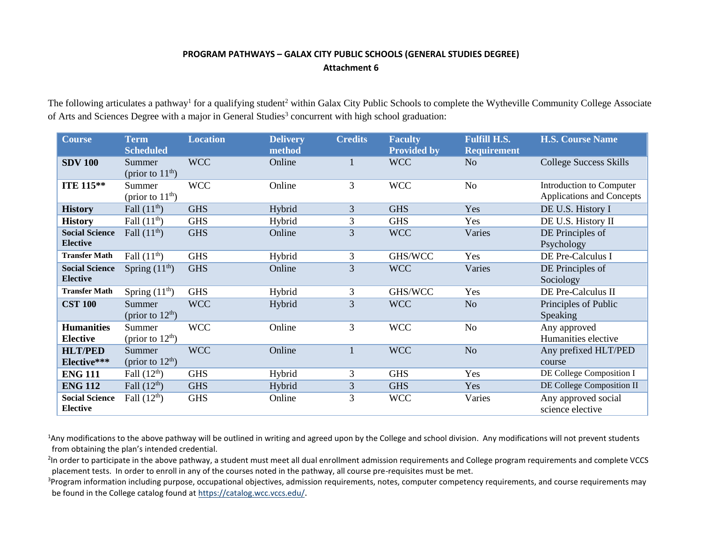## **PROGRAM PATHWAYS – GALAX CITY PUBLIC SCHOOLS (GENERAL STUDIES DEGREE) Attachment 6**

The following articulates a pathway<sup>1</sup> for a qualifying student<sup>2</sup> within Galax City Public Schools to complete the Wytheville Community College Associate of Arts and Sciences Degree with a major in General Studies<sup>3</sup> concurrent with high school graduation:

| <b>Course</b>                            | <b>Term</b><br><b>Scheduled</b> | <b>Location</b> | <b>Delivery</b><br>method | <b>Credits</b> | <b>Faculty</b><br><b>Provided by</b> | <b>Fulfill H.S.</b><br><b>Requirement</b> | <b>H.S. Course Name</b>                               |
|------------------------------------------|---------------------------------|-----------------|---------------------------|----------------|--------------------------------------|-------------------------------------------|-------------------------------------------------------|
| <b>SDV 100</b>                           | Summer<br>(prior to $11th$ )    | <b>WCC</b>      | Online                    |                | <b>WCC</b>                           | N <sub>o</sub>                            | <b>College Success Skills</b>                         |
| <b>ITE 115**</b>                         | Summer<br>(prior to $11th$ )    | <b>WCC</b>      | Online                    | 3              | <b>WCC</b>                           | No                                        | Introduction to Computer<br>Applications and Concepts |
| <b>History</b>                           | Fall $(11th)$                   | <b>GHS</b>      | Hybrid                    | 3              | <b>GHS</b>                           | Yes                                       | DE U.S. History I                                     |
| <b>History</b>                           | Fall $(11th)$                   | <b>GHS</b>      | Hybrid                    | 3              | <b>GHS</b>                           | Yes                                       | DE U.S. History II                                    |
| <b>Social Science</b><br><b>Elective</b> | Fall $(11th)$                   | <b>GHS</b>      | Online                    | 3              | <b>WCC</b>                           | Varies                                    | DE Principles of<br>Psychology                        |
| <b>Transfer Math</b>                     | Fall $(11th)$                   | <b>GHS</b>      | Hybrid                    | 3              | GHS/WCC                              | Yes                                       | DE Pre-Calculus I                                     |
| <b>Social Science</b><br><b>Elective</b> | Spring $(11th)$                 | <b>GHS</b>      | Online                    | 3              | <b>WCC</b>                           | Varies                                    | DE Principles of<br>Sociology                         |
| <b>Transfer Math</b>                     | Spring $(11th)$                 | <b>GHS</b>      | Hybrid                    | 3              | GHS/WCC                              | Yes                                       | DE Pre-Calculus II                                    |
| <b>CST 100</b>                           | Summer<br>(prior to $12th$ )    | <b>WCC</b>      | Hybrid                    | 3              | <b>WCC</b>                           | N <sub>o</sub>                            | Principles of Public<br>Speaking                      |
| <b>Humanities</b><br><b>Elective</b>     | Summer<br>(prior to $12th$ )    | <b>WCC</b>      | Online                    | 3              | <b>WCC</b>                           | N <sub>o</sub>                            | Any approved<br>Humanities elective                   |
| <b>HLT/PED</b><br>Elective***            | Summer<br>(prior to $12th$ )    | <b>WCC</b>      | Online                    |                | <b>WCC</b>                           | N <sub>o</sub>                            | Any prefixed HLT/PED<br>course                        |
| <b>ENG 111</b>                           | Fall $(12th)$                   | <b>GHS</b>      | Hybrid                    | 3              | <b>GHS</b>                           | Yes                                       | DE College Composition I                              |
| <b>ENG 112</b>                           | Fall $(12th)$                   | <b>GHS</b>      | Hybrid                    | 3              | <b>GHS</b>                           | Yes                                       | DE College Composition II                             |
| <b>Social Science</b><br><b>Elective</b> | Fall $(12th)$                   | <b>GHS</b>      | Online                    | 3              | <b>WCC</b>                           | Varies                                    | Any approved social<br>science elective               |

<sup>1</sup>Any modifications to the above pathway will be outlined in writing and agreed upon by the College and school division. Any modifications will not prevent students from obtaining the plan's intended credential.

<sup>2</sup>In order to participate in the above pathway, a student must meet all dual enrollment admission requirements and College program requirements and complete VCCS placement tests. In order to enroll in any of the courses noted in the pathway, all course pre-requisites must be met.

<sup>3</sup>Program information including purpose, occupational objectives, admission requirements, notes, computer competency requirements, and course requirements may be found in the College catalog found a[t https://catalog.wcc.vccs.edu/](https://catalog.wcc.vccs.edu/).